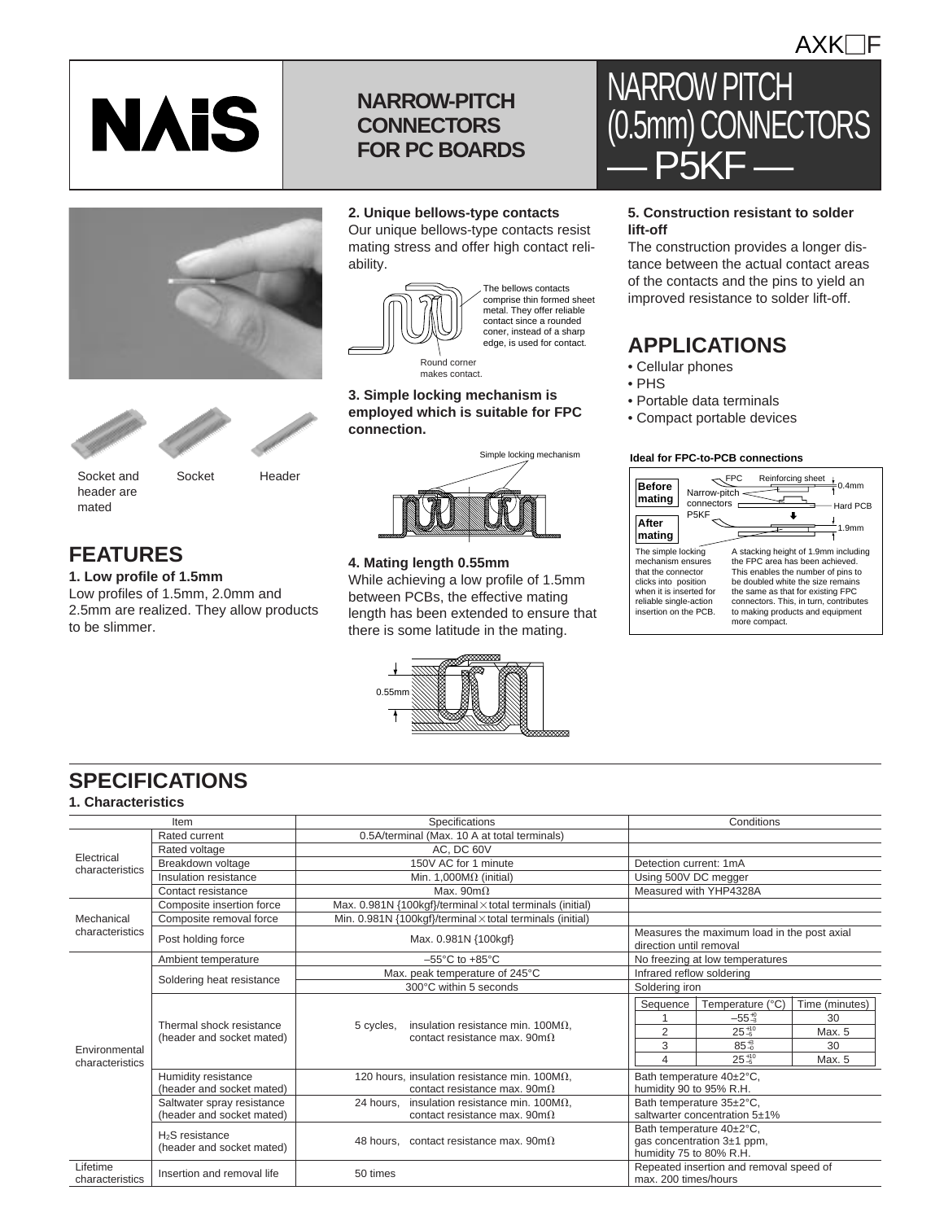## **NARROW-PITCH CONNECTORS FOR PC BOARDS**



**NAIS** 

## **2. Unique bellows-type contacts**

Our unique bellows-type contacts resist mating stress and offer high contact reliability.



The bellows contacts comprise thin formed sheet metal. They offer reliable contact since a rounded coner, instead of a sharp edge, is used for contact.

makes contact. makes contact.

#### **3. Simple locking mechanism is employed which is suitable for FPC connection.**



#### **4. Mating length 0.55mm**

While achieving a low profile of 1.5mm between PCBs, the effective mating length has been extended to ensure that there is some latitude in the mating.



## NARROW PITCH (0.5mm) CONNECTORS  $-$  P5KF $-$

#### **5. Construction resistant to solder lift-off**

The construction provides a longer distance between the actual contact areas of the contacts and the pins to yield an improved resistance to solder lift-off.

## **APPLICATIONS**

- Cellular phones
- PHS
- Portable data terminals
- Compact portable devices

#### **Ideal for FPC-to-PCB connections**



## **SPECIFICATIONS**

#### **1. Characteristics**

| Item                             |                                                          | Specifications                                                                                 | Conditions                                                                        |                  |                |
|----------------------------------|----------------------------------------------------------|------------------------------------------------------------------------------------------------|-----------------------------------------------------------------------------------|------------------|----------------|
| Electrical<br>characteristics    | Rated current                                            | 0.5A/terminal (Max. 10 A at total terminals)                                                   |                                                                                   |                  |                |
|                                  | Rated voltage                                            | AC, DC 60V                                                                                     |                                                                                   |                  |                |
|                                  | Breakdown voltage                                        | 150V AC for 1 minute                                                                           | Detection current: 1mA                                                            |                  |                |
|                                  | Insulation resistance                                    | Min. 1,000M $\Omega$ (initial)                                                                 | Using 500V DC megger                                                              |                  |                |
|                                  | Contact resistance                                       | Max. $90m\Omega$                                                                               | Measured with YHP4328A                                                            |                  |                |
| Mechanical<br>characteristics    | Composite insertion force                                | Max. 0.981N {100kgf}/terminal × total terminals (initial)                                      |                                                                                   |                  |                |
|                                  | Composite removal force                                  | Min. $0.981N$ {100kgf}/terminal $\times$ total terminals (initial)                             |                                                                                   |                  |                |
|                                  | Post holding force                                       | Max. 0.981N {100kgf}                                                                           | Measures the maximum load in the post axial<br>direction until removal            |                  |                |
|                                  | Ambient temperature                                      | $-55^{\circ}$ C to $+85^{\circ}$ C                                                             | No freezing at low temperatures                                                   |                  |                |
|                                  | Soldering heat resistance                                | Max. peak temperature of 245°C                                                                 | Infrared reflow soldering                                                         |                  |                |
|                                  |                                                          | 300°C within 5 seconds                                                                         | Soldering iron                                                                    |                  |                |
|                                  | Thermal shock resistance<br>(header and socket mated)    | insulation resistance min. 100 $M\Omega$ .<br>5 cycles,<br>contact resistance max. $90m\Omega$ | Sequence                                                                          | Temperature (°C) | Time (minutes) |
|                                  |                                                          |                                                                                                |                                                                                   | $-55^{+0}_{-3}$  | 30             |
|                                  |                                                          |                                                                                                | $\overline{2}$                                                                    | $25^{+10}_{-5}$  | Max. 5         |
| Environmental<br>characteristics |                                                          |                                                                                                | 3                                                                                 | $85^{+3}_{-0}$   | 30             |
|                                  |                                                          |                                                                                                | 4                                                                                 | $25^{+10}_{-5}$  | Max. 5         |
|                                  | Humidity resistance<br>(header and socket mated)         | 120 hours, insulation resistance min. 100 $M\Omega$ ,<br>contact resistance max. 90m $\Omega$  | Bath temperature 40±2°C,<br>humidity 90 to 95% R.H.                               |                  |                |
|                                  | Saltwater spray resistance<br>(header and socket mated)  | insulation resistance min. 100M $\Omega$ ,<br>24 hours,<br>contact resistance max. $90m\Omega$ | Bath temperature 35±2°C,<br>saltwarter concentration 5±1%                         |                  |                |
|                                  | H <sub>2</sub> S resistance<br>(header and socket mated) | 48 hours. contact resistance max. $90m\Omega$                                                  | Bath temperature 40±2°C,<br>gas concentration 3±1 ppm,<br>humidity 75 to 80% R.H. |                  |                |
| Lifetime<br>characteristics      | Insertion and removal life                               | Repeated insertion and removal speed of<br>50 times<br>max. 200 times/hours                    |                                                                                   |                  |                |



Socket and header are mated

Socket Header

## **FEATURES**

to be slimmer.

**1. Low profile of 1.5mm**

Low profiles of 1.5mm, 2.0mm and 2.5mm are realized. They allow products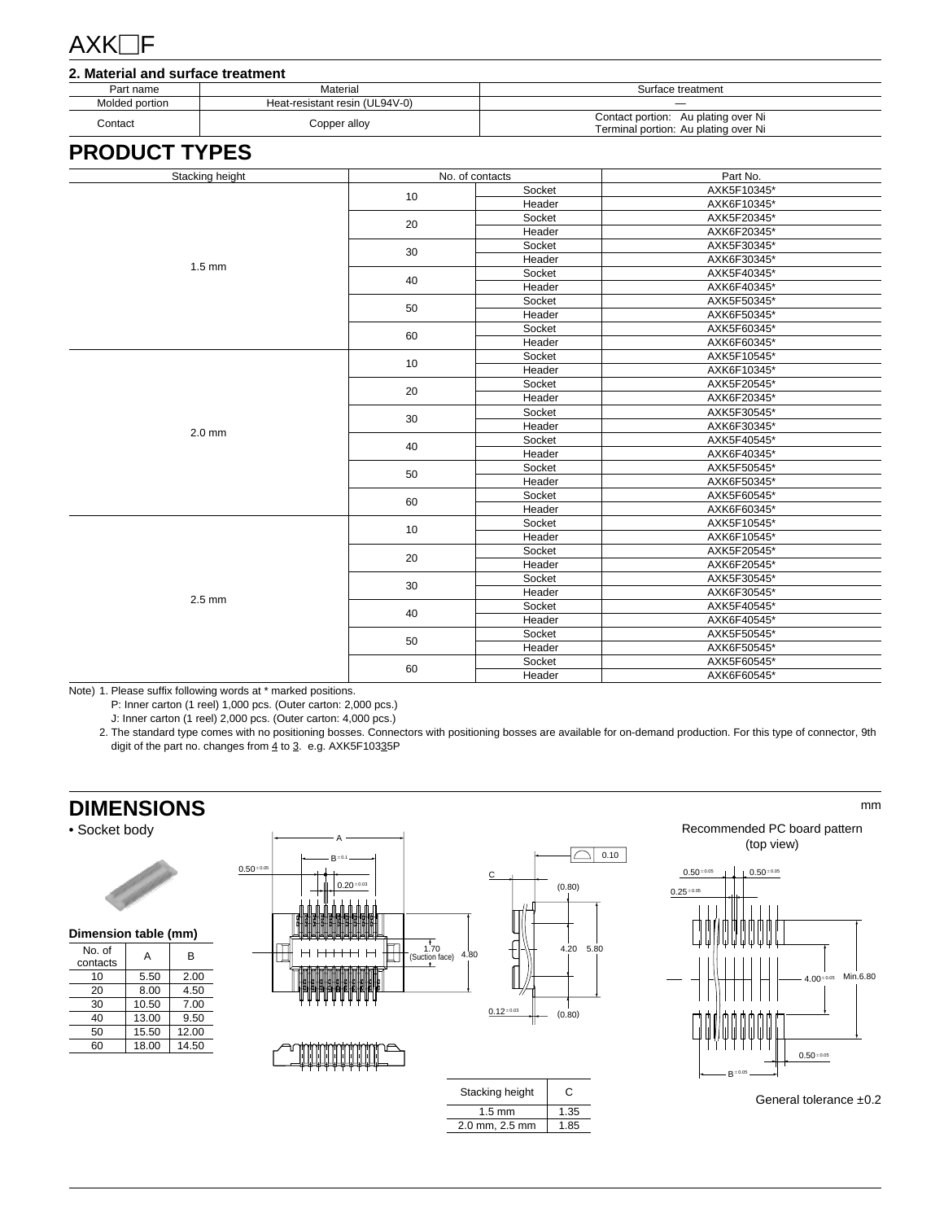## $AXK\Box F$

| 2. Material and surface treatment |                                |                                                                             |  |  |  |  |  |
|-----------------------------------|--------------------------------|-----------------------------------------------------------------------------|--|--|--|--|--|
| Part name                         | Material                       | Surface treatment                                                           |  |  |  |  |  |
| Molded portion                    | Heat-resistant resin (UL94V-0) |                                                                             |  |  |  |  |  |
| Contact                           | Copper alloy                   | Contact portion: Au plating over Ni<br>Terminal portion: Au plating over Ni |  |  |  |  |  |

## **PRODUCT TYPES**

| Stacking height | No. of contacts |        | Part No.    |  |
|-----------------|-----------------|--------|-------------|--|
|                 | 10              | Socket | AXK5F10345* |  |
|                 |                 | Header | AXK6F10345* |  |
|                 | 20              | Socket | AXK5F20345* |  |
|                 |                 | Header | AXK6F20345* |  |
|                 | 30              | Socket | AXK5F30345* |  |
|                 |                 | Header | AXK6F30345* |  |
| $1.5$ mm        | 40              | Socket | AXK5F40345* |  |
|                 |                 | Header | AXK6F40345* |  |
|                 | 50              | Socket | AXK5F50345* |  |
|                 |                 | Header | AXK6F50345* |  |
|                 |                 | Socket | AXK5F60345* |  |
|                 | 60              | Header | AXK6F60345* |  |
|                 | 10              | Socket | AXK5F10545* |  |
|                 |                 | Header | AXK6F10345* |  |
|                 |                 | Socket | AXK5F20545* |  |
|                 | 20              | Header | AXK6F20345* |  |
|                 |                 | Socket | AXK5F30545* |  |
| $2.0$ mm        | 30              | Header | AXK6F30345* |  |
|                 |                 | Socket | AXK5F40545* |  |
|                 | 40              | Header | AXK6F40345* |  |
|                 | 50              | Socket | AXK5F50545* |  |
|                 |                 | Header | AXK6F50345* |  |
|                 | 60              | Socket | AXK5F60545* |  |
|                 |                 | Header | AXK6F60345* |  |
|                 | 10              | Socket | AXK5F10545* |  |
|                 |                 | Header | AXK6F10545* |  |
|                 | 20              | Socket | AXK5F20545* |  |
|                 |                 | Header | AXK6F20545* |  |
|                 | 30              | Socket | AXK5F30545* |  |
| $2.5$ mm        |                 | Header | AXK6F30545* |  |
|                 | 40              | Socket | AXK5F40545* |  |
|                 |                 | Header | AXK6F40545* |  |
|                 | 50              | Socket | AXK5F50545* |  |
|                 |                 | Header | AXK6F50545* |  |
|                 | 60              | Socket | AXK5F60545* |  |
|                 |                 | Header | AXK6F60545* |  |

Note) 1. Please suffix following words at \* marked positions.

P: Inner carton (1 reel) 1,000 pcs. (Outer carton: 2,000 pcs.)

J: Inner carton (1 reel) 2,000 pcs. (Outer carton: 4,000 pcs.)

2. The standard type comes with no positioning bosses. Connectors with positioning bosses are available for on-demand production. For this type of connector, 9th digit of the part no. changes from  $4$  to  $3.$  e.g. AXK5F10335P

## **DIMENSIONS**

#### • Socket body



**Dimension table (mm)**

| No. of<br>contacts | А     | B     |  |  |  |
|--------------------|-------|-------|--|--|--|
| 10                 | 5.50  | 2.00  |  |  |  |
| 20                 | 8.00  | 4.50  |  |  |  |
| 30                 | 10.50 | 7.00  |  |  |  |
| 40                 | 13.00 | 9.50  |  |  |  |
| 50                 | 15.50 | 12.00 |  |  |  |
| 60                 | 18.00 | 14.50 |  |  |  |





Recommended PC board pattern (top view)

mm



General tolerance ±0.2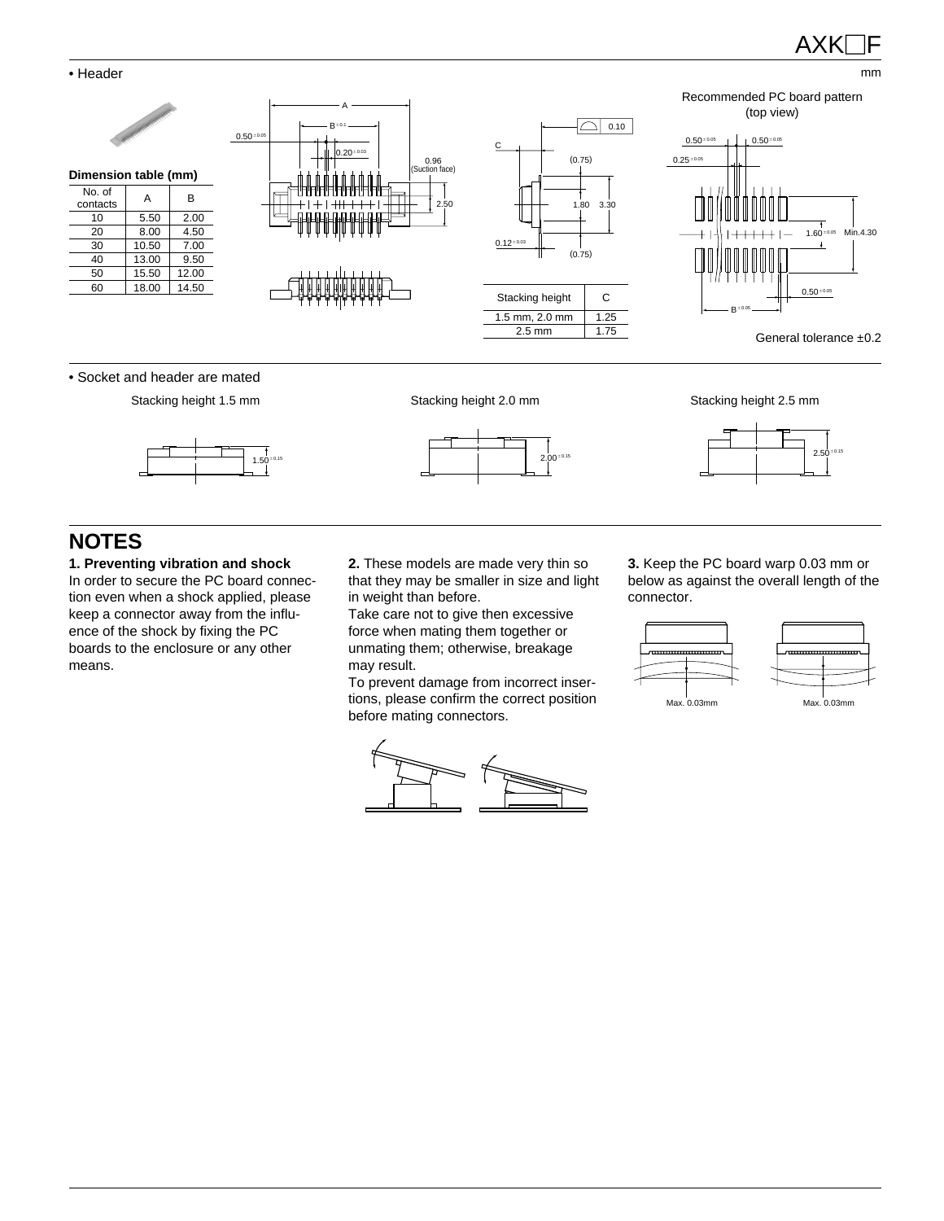mm

#### • Header



## **NOTES**

**1. Preventing vibration and shock** In order to secure the PC board connection even when a shock applied, please keep a connector away from the influence of the shock by fixing the PC boards to the enclosure or any other means.

**2.** These models are made very thin so that they may be smaller in size and light in weight than before.

Take care not to give then excessive force when mating them together or unmating them; otherwise, breakage may result.

To prevent damage from incorrect insertions, please confirm the correct position before mating connectors.



**3.** Keep the PC board warp 0.03 mm or below as against the overall length of the connector.